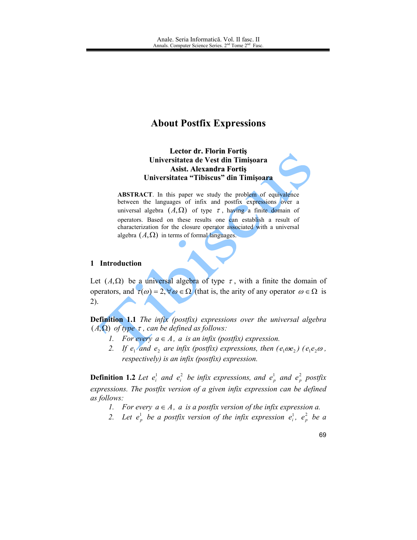# **About Postfix Expressions**

**Lector dr. Florin Fortis** Universitatea de Vest din Timișoara **Asist. Alexandra Fortis** Universitatea "Tibiscus" din Timisoara

ABSTRACT. In this paper we study the problem of equivalence between the languages of infix and postfix expressions over a universal algebra  $(A,\Omega)$  of type  $\tau$ , having a finite domain of operators. Based on these results one can establish a result of characterization for the closure operator associated with a universal algebra  $(A,\Omega)$  in terms of formal languages.

# 1 Introduction

Let  $(A,\Omega)$  be a universal algebra of type  $\tau$ , with a finite the domain of operators, and  $\tau(\omega) = 2$ ,  $\forall \omega \in \Omega$  (that is, the arity of any operator  $\omega \in \Omega$  is  $(2)$ .

**Definition 1.1** The infix (postfix) expressions over the universal algebra  $(A,\Omega)$  of type  $\tau$ , can be defined as follows:

- 1. For every  $a \in A$ , a is an infix (postfix) expression.
- 2. If  $e_1$  and  $e_2$  are infix (postfix) expressions, then  $(e_1 \omega e_2)$  ( $e_1 e_2 \omega$ , respectively) is an infix (postfix) expression.

**Definition 1.2** Let  $e_i^1$  and  $e_i^2$  be infix expressions, and  $e_p^1$  and  $e_p^2$  postfix expressions. The postfix version of a given infix expression can be defined as follows:

- 1. For every  $a \in A$ , a is a postfix version of the infix expression a.
- 2. Let  $e_p^1$  be a postfix version of the infix expression  $e_i^1$ ,  $e_p^2$  be a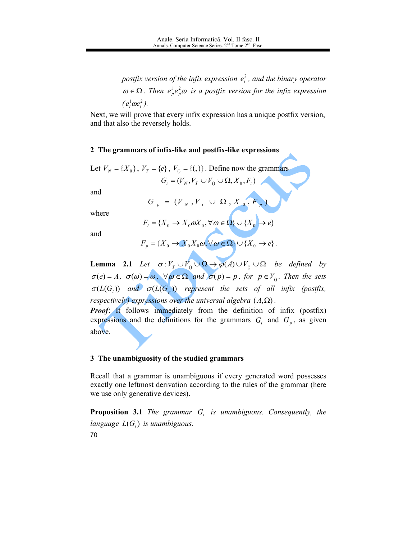postfix version of the infix expression  $e_i^2$ , and the binary operator  $\omega \in \Omega$ . Then  $e_p^1 e_p^2 \omega$  is a postfix version for the infix expression  $(e_i^1 \omega e_i^2)$ .

Next, we will prove that every infix expression has a unique postfix version, and that also the reversely holds.

# 2 The grammars of infix-like and postfix-like expressions

Let 
$$
V_N = \{X_0\}
$$
,  $V_T = \{e\}$ ,  $V_0 = \{(),)\}$ . Define now the grammars  

$$
G_i = (V_N, V_T \cup V_0 \cup \Omega, X_0, F_i)
$$

and

$$
G_p = (V_N, V_T \cup \Omega, X_0, F_p)
$$

where

$$
F_i = \{X_0 \to X_0 \omega X_0, \forall \omega \in \Omega\} \cup \{X_0 \to e\}
$$

and

$$
F_p = \{X_0 \to X_0 X_0 \omega, \forall \omega \in \Omega\} \cup \{X_0 \to e\}
$$

**Lemma 2.1** Let  $\sigma: V_T \cup V_0 \cup \Omega \to \wp(A) \cup V_0 \cup \Omega$  be defined by  $\sigma(e) = A$ ,  $\sigma(\omega) = \omega$ ,  $\forall \omega \in \Omega$  and  $\sigma(p) = p$ , for  $p \in V_0$ . Then the sets  $\sigma(L(G_i))$  and  $\sigma(L(G_p))$  represent the sets of all infix (postfix, respectively) expressions over the universal algebra  $(A,\Omega)$ . **Proof:** It follows immediately from the definition of infix (postfix) expressions and the definitions for the grammars  $G_i$  and  $G_p$ , as given

above.

#### 3 The unambiguosity of the studied grammars

Recall that a grammar is unambiguous if every generated word possesses exactly one leftmost derivation according to the rules of the grammar (here we use only generative devices).

**Proposition 3.1** The grammar  $G_i$  is unambiguous. Consequently, the language  $L(G_i)$  is unambiguous. 70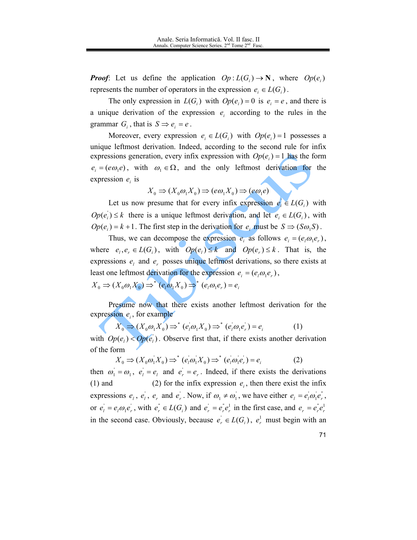**Proof:** Let us define the application  $Op: L(G_i) \to \mathbb{N}$ , where  $Op(e_i)$ represents the number of operators in the expression  $e_i \in L(G_i)$ .

The only expression in  $L(G_i)$  with  $Op(e_i) = 0$  is  $e_i = e$ , and there is a unique derivation of the expression  $e_i$  according to the rules in the grammar  $G_i$ , that is  $S \implies e_i = e$ .

Moreover, every expression  $e_i \in L(G_i)$  with  $Op(e_i) = 1$  possesses a unique leftmost derivation. Indeed, according to the second rule for infix expressions generation, every infix expression with  $Op(e_i) = 1$  has the form  $e_i = (e\omega_1 e)$ , with  $\omega_1 \in \Omega$ , and the only leftmost derivation for the expression  $e_i$  is

$$
X_0 \Rightarrow (X_0 \omega_1 X_0) \Rightarrow (e \omega_1 X_0) \Rightarrow (e \omega_1 e)
$$

Let us now presume that for every infix expression  $e \in L(G)$  with  $Op(e_i) \leq k$  there is a unique leftmost derivation, and let  $e_i \in L(G_i)$ , with  $Op(e_i) = k + 1$ . The first step in the derivation for  $e_i$  must be  $S \Rightarrow (S\omega_1 S)$ .

Thus, we can decompose the expression  $e_i$  as follows  $e_i = (e_i \omega_i e_i)$ , where  $e_i, e_i \in L(G_i)$ , with  $Op(e_i) \le k$  and  $Op(e_i) \le k$ . That is, the expressions  $e_i$  and  $e_r$  posses unique leftmost derivations, so there exists at least one leftmost derivation for the expression  $e_i = (e_i \omega_i e_r)$ ,

 $X_0 \Rightarrow (X_0 \omega_1 X_0) \Rightarrow^* (e_i \omega_1 X_0) \Rightarrow^* (e_i \omega_1 e_r) = e_i$ 

Presume now that there exists another leftmost derivation for the expression  $e_i$ , for example

$$
X_0 \Rightarrow (X_0 \omega_1 X_0) \Rightarrow^* (e_i \omega_1 X_0) \Rightarrow^* (e_i \omega_1 e_r) = e_i \tag{1}
$$

with  $Op(e_i) < Op(e_i)$ . Observe first that, if there exists another derivation of the form

$$
X_0 \Rightarrow (X_0 \omega_1 X_0) \Rightarrow^* (e_i \omega_1 X_0) \Rightarrow^* (e_i \omega_1 e_r) = e_i \tag{2}
$$

then  $\omega_1 = \omega_1$ ,  $e_1 = e_1$  and  $e_2 = e_2$ . Indeed, if there exists the derivations (2) for the infix expression  $e_i$ , then there exist the infix  $(1)$  and expressions  $e_i$ ,  $e_i$ ,  $e_r$  and  $e_r$ . Now, if  $\omega_1 \neq \omega_1$ , we have either  $e_i = e_i \omega_1 e_r$ , or  $e_i = e_i \omega_1 e_r$ , with  $e_r^{\dagger} \in L(G_i)$  and  $e_r^{\dagger} = e_r^{\dagger} e_r^{\dagger}$  in the first case, and  $e_r = e_r^{\dagger} e_r^{\dagger}$ in the second case. Obviously, because  $e_r \in L(G_i)$ ,  $e_r^1$  must begin with an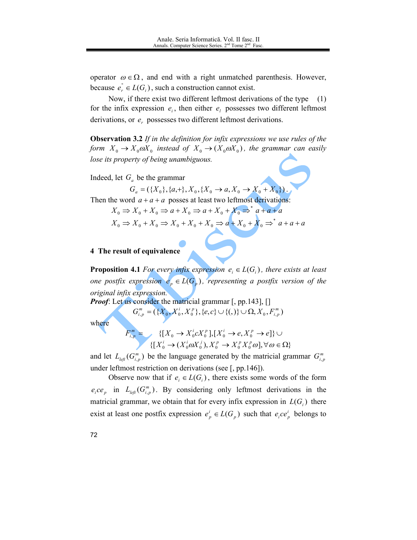operator  $\omega \in \Omega$ , and end with a right unmatched parenthesis. However, because  $e_{r} \in L(G_{i})$ , such a construction cannot exist.

Now, if there exist two different leftmost derivations of the type  $(1)$ for the infix expression  $e_i$ , then either  $e_i$  possesses two different leftmost derivations, or  $e_r$  possesses two different leftmost derivations.

**Observation 3.2** If in the definition for infix expressions we use rules of the form  $X_0 \to X_0 \omega X_0$  instead of  $X_0 \to (X_0 \omega X_0)$ , the grammar can easily lose its property of being unambiguous.

Indeed, let  $G_a$  be the grammar

 $G_a = (\{X_0\}, \{a, +\}, X_0, \{X_0 \to a, X_0 \to X_0 + X_0\})$ 

Then the word  $a + a + a$  posses at least two leftmost derivations:

$$
X_0 \Rightarrow X_0 + X_0 \Rightarrow a + X_0 \Rightarrow a + X_0 + X_0 \Rightarrow^* a + a + a
$$

$$
X_0 \Rightarrow X_0 + X_0 \Rightarrow X_0 + X_0 + X_0 \Rightarrow a + X_0 + X_0 \Rightarrow^* a + a + a
$$

# 4 The result of equivalence

**Proposition 4.1** For every infix expression  $e_i \in L(G_i)$ , there exists at least one postfix expression  $e_p \in L(G_p)$ , representing a postfix version of the original infix expression.

*Proof:* Let us consider the matricial grammar [, pp.143], []

$$
G_{i,p}^m = (\{X_0, X_0^i, X_0^p\}, \{e, c\} \cup \{(),\} \cup \Omega, X_0, F_{i,p}^m)
$$

where

$$
\{[X_0 \to X_0^i c X_0^p], [X_0^i \to e, X_0^p \to e]\} \cup \{[X_0^i \to (X_0^i a X_0^j), X_0^p \to X_0^p X_0^p \omega], \forall \omega \in \Omega\}
$$

and let  $L_{left}(G_{i,p}^m)$  be the language generated by the matricial grammar  $G_{i,p}^m$ under leftmost restriction on derivations (see  $[$ , pp.146 $]$ ).

Observe now that if  $e_i \in L(G_i)$ , there exists some words of the form  $e_{i}ce_{n}$  in  $L_{left}(G_{i,n}^{m})$ . By considering only leftmost derivations in the matricial grammar, we obtain that for every infix expression in  $L(G_i)$  there exist at least one postfix expression  $e_p^i \in L(G_p)$  such that  $e_i ce_p^i$  belongs to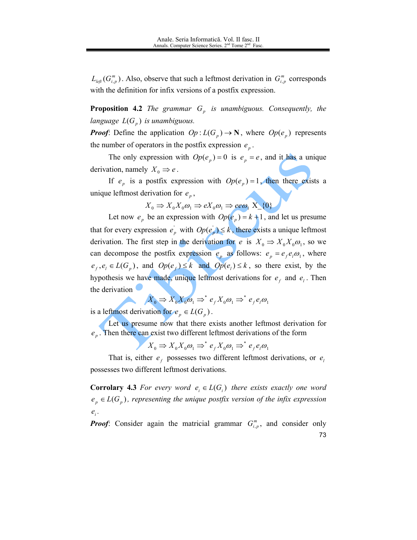$L_{left}(G_{i,p}^{m})$ . Also, observe that such a leftmost derivation in  $G_{i,p}^{m}$  corresponds with the definition for infix versions of a postfix expression.

**Proposition 4.2** The grammar  $G_n$  is unambiguous. Consequently, the language  $L(G_n)$  is unambiguous.

*Proof:* Define the application  $Op: L(G_p) \to \mathbb{N}$ , where  $Op(e_p)$  represents the number of operators in the postfix expression  $e_n$ .

The only expression with  $Op(e_p) = 0$  is  $e_p = e$ , and it has a unique derivation, namely  $X_0 \Rightarrow e$ .

If  $e_p$  is a postfix expression with  $Op(e_p) = 1$ , then there exists a unique leftmost derivation for  $e_p$ ,

$$
X_0 \Rightarrow X_0 X_0 \omega_1 \Rightarrow e X_0 \omega_1 \Rightarrow e e \omega_1 X_0
$$

Let now  $e_p$  be an expression with  $Op(e_p) = k+1$ , and let us presume that for every expression  $e_p$  with  $Op(e_p) \le k$ , there exists a unique leftmost derivation. The first step in the derivation for e is  $X_0 \Rightarrow X_0 X_0 \omega_1$ , so we can decompose the postfix expression  $e_p$  as follows:  $e_p = e_f e_i \omega_1$ , where  $e_f, e_l \in L(G_p)$ , and  $Op(e_f) \le k$  and  $Op(e_l) \le k$ , so there exist, by the hypothesis we have made, unique leftmost derivations for  $e_t$  and  $e_1$ . Then the derivation

$$
X_0 \Rightarrow X_0 X_0 \omega_1 \Rightarrow^* e_f X_0 \omega_1 \Rightarrow^* e_f e_i \omega_1
$$

is a leftmost derivation for  $e_p \in L(G_p)$ .

Let us presume now that there exists another leftmost derivation for  $e_p$ . Then there can exist two different leftmost derivations of the form

$$
X_0 \Rightarrow X_0 X_0 \omega_1 \Rightarrow^* e_f X_0 \omega_1 \Rightarrow^* e_f e_i \omega_1
$$

That is, either  $e_f$  possesses two different leftmost derivations, or  $e_i$ possesses two different leftmost derivations.

**Corrolary 4.3** For every word  $e_i \in L(G_i)$  there exists exactly one word  $e_p \in L(G_p)$ , representing the unique postfix version of the infix expression  $e_i$ .

*Proof:* Consider again the matricial grammar  $G_{i,p}^m$ , and consider only 73